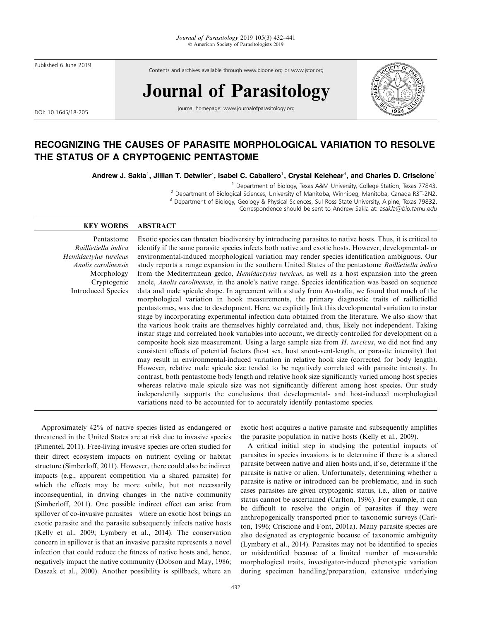Published 6 June 2019

Contents and archives available through www.bioone.org or www.jstor.org

# Journal of Parasitology

DOI: 10.1645/18-205

journal homepage: www.journalofparasitology.org



# RECOGNIZING THE CAUSES OF PARASITE MORPHOLOGICAL VARIATION TO RESOLVE THE STATUS OF A CRYPTOGENIC PENTASTOME

Andrew J. Sakla $^1$ , Jillian T. Detwiler $^2$ , Isabel C. Caballero $^1$ , Crystal Kelehear $^3$ , and Charles D. Criscione $^1$ 

<sup>1</sup> Department of Biology, Texas A&M University, College Station, Texas 77843.<br><sup>2</sup> Department of Biological Sciences, University of Manitoba, Winnipeg, Manitoba, Canada R3T-2N2.

<sup>3</sup> Department of Biology, Geology & Physical Sciences, Sul Ross State University, Alpine, Texas 79832.

Correspondence should be sent to Andrew Sakla at: asakla@bio.tamu.edu

# KEY WORDS ABSTRACT

Pentastome Raillietiella indica Hemidactylus turcicus Anolis carolinensis Morphology Cryptogenic Introduced Species

Exotic species can threaten biodiversity by introducing parasites to native hosts. Thus, it is critical to identify if the same parasite species infects both native and exotic hosts. However, developmental- or environmental-induced morphological variation may render species identification ambiguous. Our study reports a range expansion in the southern United States of the pentastome Raillietiella indica from the Mediterranean gecko, *Hemidactylus turcicus*, as well as a host expansion into the green anole, Anolis carolinensis, in the anole's native range. Species identification was based on sequence data and male spicule shape. In agreement with a study from Australia, we found that much of the morphological variation in hook measurements, the primary diagnostic traits of raillietiellid pentastomes, was due to development. Here, we explicitly link this developmental variation to instar stage by incorporating experimental infection data obtained from the literature. We also show that the various hook traits are themselves highly correlated and, thus, likely not independent. Taking instar stage and correlated hook variables into account, we directly controlled for development on a composite hook size measurement. Using a large sample size from  $H$ . turcicus, we did not find any consistent effects of potential factors (host sex, host snout-vent-length, or parasite intensity) that may result in environmental-induced variation in relative hook size (corrected for body length). However, relative male spicule size tended to be negatively correlated with parasite intensity. In contrast, both pentastome body length and relative hook size significantly varied among host species whereas relative male spicule size was not significantly different among host species. Our study independently supports the conclusions that developmental- and host-induced morphological variations need to be accounted for to accurately identify pentastome species.

Approximately 42% of native species listed as endangered or threatened in the United States are at risk due to invasive species (Pimentel, 2011). Free-living invasive species are often studied for their direct ecosystem impacts on nutrient cycling or habitat structure (Simberloff, 2011). However, there could also be indirect impacts (e.g., apparent competition via a shared parasite) for which the effects may be more subtle, but not necessarily inconsequential, in driving changes in the native community (Simberloff, 2011). One possible indirect effect can arise from spillover of co-invasive parasites—where an exotic host brings an exotic parasite and the parasite subsequently infects native hosts (Kelly et al., 2009; Lymbery et al., 2014). The conservation concern in spillover is that an invasive parasite represents a novel infection that could reduce the fitness of native hosts and, hence, negatively impact the native community (Dobson and May, 1986; Daszak et al., 2000). Another possibility is spillback, where an exotic host acquires a native parasite and subsequently amplifies the parasite population in native hosts (Kelly et al., 2009).

A critical initial step in studying the potential impacts of parasites in species invasions is to determine if there is a shared parasite between native and alien hosts and, if so, determine if the parasite is native or alien. Unfortunately, determining whether a parasite is native or introduced can be problematic, and in such cases parasites are given cryptogenic status, i.e., alien or native status cannot be ascertained (Carlton, 1996). For example, it can be difficult to resolve the origin of parasites if they were anthropogenically transported prior to taxonomic surveys (Carlton, 1996; Criscione and Font, 2001a). Many parasite species are also designated as cryptogenic because of taxonomic ambiguity (Lymbery et al., 2014). Parasites may not be identified to species or misidentified because of a limited number of measurable morphological traits, investigator-induced phenotypic variation during specimen handling/preparation, extensive underlying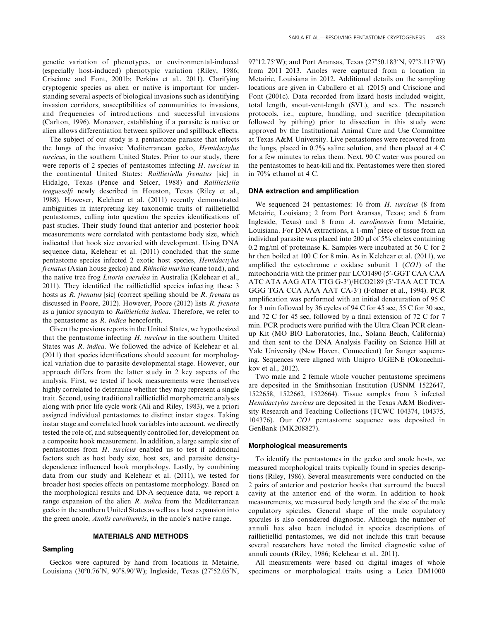genetic variation of phenotypes, or environmental-induced (especially host-induced) phenotypic variation (Riley, 1986; Criscione and Font, 2001b; Perkins et al., 2011). Clarifying cryptogenic species as alien or native is important for understanding several aspects of biological invasions such as identifying invasion corridors, susceptibilities of communities to invasions, and frequencies of introductions and successful invasions (Carlton, 1996). Moreover, establishing if a parasite is native or alien allows differentiation between spillover and spillback effects.

The subject of our study is a pentastome parasite that infects the lungs of the invasive Mediterranean gecko, Hemidactylus turcicus, in the southern United States. Prior to our study, there were reports of 2 species of pentastomes infecting H. turcicus in the continental United States: Raillietiella frenatus [sic] in Hidalgo, Texas (Pence and Selcer, 1988) and Raillietiella teagueselfi newly described in Houston, Texas (Riley et al., 1988). However, Kelehear et al. (2011) recently demonstrated ambiguities in interpreting key taxonomic traits of raillietiellid pentastomes, calling into question the species identifications of past studies. Their study found that anterior and posterior hook measurements were correlated with pentastome body size, which indicated that hook size covaried with development. Using DNA sequence data, Kelehear et al. (2011) concluded that the same pentastome species infected 2 exotic host species, Hemidactylus frenatus (Asian house gecko) and Rhinella marina (cane toad), and the native tree frog Litoria caerulea in Australia (Kelehear et al., 2011). They identified the raillietiellid species infecting these 3 hosts as R. frenatus [sic] (correct spelling should be R. frenata as discussed in Poore, 2012). However, Poore (2012) lists R. frenata as a junior synonym to Raillietiella indica. Therefore, we refer to the pentastome as R. indica henceforth.

Given the previous reports in the United States, we hypothesized that the pentastome infecting  $H$ . turcicus in the southern United States was R. indica. We followed the advice of Kelehear et al. (2011) that species identifications should account for morphological variation due to parasite developmental stage. However, our approach differs from the latter study in 2 key aspects of the analysis. First, we tested if hook measurements were themselves highly correlated to determine whether they may represent a single trait. Second, using traditional raillietiellid morphometric analyses along with prior life cycle work (Ali and Riley, 1983), we a priori assigned individual pentastomes to distinct instar stages. Taking instar stage and correlated hook variables into account, we directly tested the role of, and subsequently controlled for, development on a composite hook measurement. In addition, a large sample size of pentastomes from H. turcicus enabled us to test if additional factors such as host body size, host sex, and parasite densitydependence influenced hook morphology. Lastly, by combining data from our study and Kelehear et al. (2011), we tested for broader host species effects on pentastome morphology. Based on the morphological results and DNA sequence data, we report a range expansion of the alien R. indica from the Mediterranean gecko in the southern United States as well as a host expansion into the green anole, Anolis carolinensis, in the anole's native range.

# MATERIALS AND METHODS

#### Sampling

Geckos were captured by hand from locations in Metairie, Louisiana (30°0.76′N, 90°8.90′W); Ingleside, Texas (27°52.05′N,

97°12.75′W); and Port Aransas, Texas (27°50.183′N, 97°3.117′W) from 2011–2013. Anoles were captured from a location in Metairie, Louisiana in 2012. Additional details on the sampling locations are given in Caballero et al. (2015) and Criscione and Font (2001c). Data recorded from lizard hosts included weight, total length, snout-vent-length (SVL), and sex. The research protocols, i.e., capture, handling, and sacrifice (decapitation followed by pithing) prior to dissection in this study were approved by the Institutional Animal Care and Use Committee at Texas A&M University. Live pentastomes were recovered from the lungs, placed in 0.7% saline solution, and then placed at 4 C for a few minutes to relax them. Next, 90 C water was poured on the pentastomes to heat-kill and fix. Pentastomes were then stored in 70% ethanol at 4 C.

# DNA extraction and amplification

We sequenced 24 pentastomes: 16 from H. turcicus (8 from Metairie, Louisiana; 2 from Port Aransas, Texas; and 6 from Ingleside, Texas) and 8 from A. carolinensis from Metairie, Louisiana. For DNA extractions, a 1-mm<sup>3</sup> piece of tissue from an individual parasite was placed into  $200 \mu$ l of  $5\%$  chelex containing 0.2 mg/ml of proteinase K. Samples were incubated at 56 C for 2 hr then boiled at 100 C for 8 min. As in Kelehear et al. (2011), we amplified the cytochrome c oxidase subunit 1  $(COI)$  of the mitochondria with the primer pair LCO1490 (5'-GGT CAA CAA ATC ATA AAG ATA TTG G-3′)/HCO2189 (5′-TAA ACT TCA GGG TGA CCA AAA AAT CA-3') (Folmer et al., 1994). PCR amplification was performed with an initial denaturation of 95 C for 3 min followed by 36 cycles of 94 C for 45 sec, 55 C for 30 sec, and 72 C for 45 sec, followed by a final extension of 72 C for 7 min. PCR products were purified with the Ultra Clean PCR cleanup Kit (MO BIO Laboratories, Inc., Solana Beach, California) and then sent to the DNA Analysis Facility on Science Hill at Yale University (New Haven, Connecticut) for Sanger sequencing. Sequences were aligned with Unipro UGENE (Okonechnikov et al., 2012).

Two male and 2 female whole voucher pentastome specimens are deposited in the Smithsonian Institution (USNM 1522647, 1522658, 1522662, 1522664). Tissue samples from 3 infected Hemidactylus turcicus are deposited in the Texas A&M Biodiversity Research and Teaching Collections (TCWC 104374, 104375, 104376). Our CO1 pentastome sequence was deposited in GenBank (MK208827).

# Morphological measurements

To identify the pentastomes in the gecko and anole hosts, we measured morphological traits typically found in species descriptions (Riley, 1986). Several measurements were conducted on the 2 pairs of anterior and posterior hooks that surround the buccal cavity at the anterior end of the worm. In addition to hook measurements, we measured body length and the size of the male copulatory spicules. General shape of the male copulatory spicules is also considered diagnostic. Although the number of annuli has also been included in species descriptions of raillietiellid pentastomes, we did not include this trait because several researchers have noted the limited diagnostic value of annuli counts (Riley, 1986; Kelehear et al., 2011).

All measurements were based on digital images of whole specimens or morphological traits using a Leica DM1000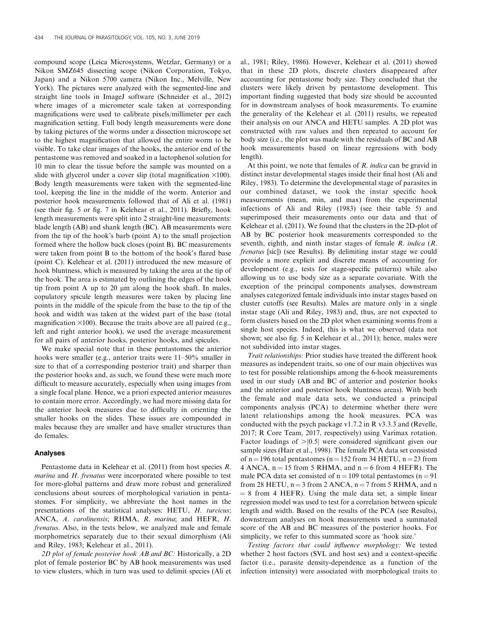compound scope (Leica Microsystems, Wetzlar, Germany) or a Nikon SMZ645 dissecting scope (Nikon Corporation, Tokyo, Japan) and a Nikon 5700 camera (Nikon Inc., Melville, New York). The pictures were analyzed with the segmented-line and straight line tools in ImageJ software (Schneider et al., 2012) where images of a micrometer scale taken at corresponding magnifications were used to calibrate pixels/millimeter per each magnification setting. Full body length measurements were done by taking pictures of the worms under a dissection microscope set to the highest magnification that allowed the entire worm to be visible. To take clear images of the hooks, the anterior end of the pentastome was removed and soaked in a lactophenol solution for 10 min to clear the tissue before the sample was mounted on a slide with glycerol under a cover slip (total magnification  $\times$ 100). Body length measurements were taken with the segmented-line tool, keeping the line in the middle of the worm. Anterior and posterior hook measurements followed that of Ali et al. (1981) (see their fig. 5 or fig. 7 in Kelehear et al., 2011). Briefly, hook length measurements were split into 2 straight-line measurements: blade length (AB) and shank length (BC). AB measurements were from the tip of the hook's barb (point A) to the small projection formed where the hollow back closes (point B). BC measurements were taken from point B to the bottom of the hook's flared base (point C). Kelehear et al. (2011) introduced the new measure of hook bluntness, which is measured by taking the area at the tip of the hook. The area is estimated by outlining the edges of the hook tip from point A up to  $20 \mu m$  along the hook shaft. In males, copulatory spicule length measures were taken by placing line points in the middle of the spicule from the base to the tip of the hook and width was taken at the widest part of the base (total magnification  $\times$ 100). Because the traits above are all paired (e.g., left and right anterior hook), we used the average measurement for all pairs of anterior hooks, posterior hooks, and spicules.

We make special note that in these pentastomes the anterior hooks were smaller (e.g., anterior traits were 11–50% smaller in size to that of a corresponding posterior trait) and sharper than the posterior hooks and, as such, we found these were much more difficult to measure accurately, especially when using images from a single focal plane. Hence, we a priori expected anterior measures to contain more error. Accordingly, we had more missing data for the anterior hook measures due to difficulty in orienting the smaller hooks on the slides. These issues are compounded in males because they are smaller and have smaller structures than do females.

# Analyses

Pentastome data in Kelehear et al. (2011) from host species R. marina and H. frenatus were incorporated where possible to test for more-global patterns and draw more robust and generalized conclusions about sources of morphological variation in pentastomes. For simplicity, we abbreviate the host names in the presentations of the statistical analyses: HETU, H. turcicus; ANCA, A. carolinensis; RHMA, R. marina; and HEFR, H. frenatus. Also, in the tests below, we analyzed male and female morphometrics separately due to their sexual dimorphism (Ali and Riley, 1983; Kelehear et al., 2011).

2D plot of female posterior hook AB and BC: Historically, a 2D plot of female posterior BC by AB hook measurements was used to view clusters, which in turn was used to delimit species (Ali et al., 1981; Riley, 1986). However, Kelehear et al. (2011) showed that in these 2D plots, discrete clusters disappeared after accounting for pentastome body size. They concluded that the clusters were likely driven by pentastome development. This important finding suggested that body size should be accounted for in downstream analyses of hook measurements. To examine the generality of the Kelehear et al. (2011) results, we repeated their analysis on our ANCA and HETU samples. A 2D plot was constructed with raw values and then repeated to account for body size (i.e., the plot was made with the residuals of BC and AB hook measurements based on linear regressions with body length).

At this point, we note that females of  $R$ . *indica* can be gravid in distinct instar developmental stages inside their final host (Ali and Riley, 1983). To determine the developmental stage of parasites in our combined dataset, we took the instar specific hook measurements (mean, min, and max) from the experimental infections of Ali and Riley (1983) (see their table 5) and superimposed their measurements onto our data and that of Kelehear et al. (2011). We found that the clusters in the 2D-plot of AB by BC posterior hook measurements corresponded to the seventh, eighth, and ninth instar stages of female R. indica (R. frenatus [sic]) (see Results). By delimiting instar stage we could provide a more explicit and discrete means of accounting for development (e.g., tests for stage-specific patterns) while also allowing us to use body size as a separate covariate. With the exception of the principal components analyses, downstream analyses categorized female individuals into instar stages based on cluster cutoffs (see Results). Males are mature only in a single instar stage (Ali and Riley, 1983) and, thus, are not expected to form clusters based on the 2D plot when examining worms from a single host species. Indeed, this is what we observed (data not shown; see also fig. 5 in Kelehear et al., 2011); hence, males were not subdivided into instar stages.

Trait relationships: Prior studies have treated the different hook measures as independent traits, so one of our main objectives was to test for possible relationships among the 6-hook measurements used in our study (AB and BC of anterior and posterior hooks and the anterior and posterior hook bluntness areas). With both the female and male data sets, we conducted a principal components analysis (PCA) to determine whether there were latent relationships among the hook measures. PCA was conducted with the psych package v1.7.2 in R v3.3.3 and (Revelle, 2017; R Core Team, 2017, respectively) using Varimax rotation. Factor loadings of  $>$  |0.5| were considered significant given our sample sizes (Hair et al., 1998). The female PCA data set consisted of  $n = 196$  total pentastomes ( $n = 152$  from 34 HETU,  $n = 23$  from 4 ANCA,  $n = 15$  from 5 RHMA, and  $n = 6$  from 4 HEFR). The male PCA data set consisted of  $n = 109$  total pentastomes ( $n = 91$ ) from 28 HETU,  $n = 3$  from 2 ANCA,  $n = 7$  from 5 RHMA, and n  $= 8$  from 4 HEFR). Using the male data set, a simple linear regression model was used to test for a correlation between spicule length and width. Based on the results of the PCA (see Results), downstream analyses on hook measurements used a summated score of the AB and BC measures of the posterior hooks. For simplicity, we refer to this summated score as 'hook size.'

Testing factors that could influence morphology: We tested whether 2 host factors (SVL and host sex) and a context-specific factor (i.e., parasite density-dependence as a function of the infection intensity) were associated with morphological traits to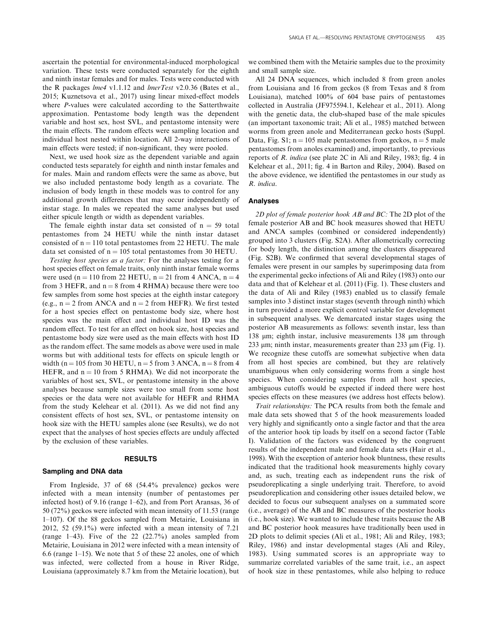ascertain the potential for environmental-induced morphological variation. These tests were conducted separately for the eighth and ninth instar females and for males. Tests were conducted with the R packages *lme4* v1.1.12 and *lmerTest* v2.0.36 (Bates et al., 2015; Kuznetsova et al., 2017) using linear mixed-effect models where *P*-values were calculated according to the Satterthwaite approximation. Pentastome body length was the dependent variable and host sex, host SVL, and pentastome intensity were the main effects. The random effects were sampling location and individual host nested within location. All 2-way interactions of main effects were tested; if non-significant, they were pooled.

Next, we used hook size as the dependent variable and again conducted tests separately for eighth and ninth instar females and for males. Main and random effects were the same as above, but we also included pentastome body length as a covariate. The inclusion of body length in these models was to control for any additional growth differences that may occur independently of instar stage. In males we repeated the same analyses but used either spicule length or width as dependent variables.

The female eighth instar data set consisted of  $n = 59$  total pentastomes from 24 HETU while the ninth instar dataset consisted of  $n = 110$  total pentastomes from 22 HETU. The male data set consisted of  $n = 105$  total pentastomes from 30 HETU.

Testing host species as a factor: For the analyses testing for a host species effect on female traits, only ninth instar female worms were used (n = 110 from 22 HETU, n = 21 from 4 ANCA, n = 4 from 3 HEFR, and  $n = 8$  from 4 RHMA) because there were too few samples from some host species at the eighth instar category (e.g.,  $n = 2$  from ANCA and  $n = 2$  from HEFR). We first tested for a host species effect on pentastome body size, where host species was the main effect and individual host ID was the random effect. To test for an effect on hook size, host species and pentastome body size were used as the main effects with host ID as the random effect. The same models as above were used in male worms but with additional tests for effects on spicule length or width (n = 105 from 30 HETU, n = 5 from 3 ANCA, n = 8 from 4 HEFR, and  $n = 10$  from 5 RHMA). We did not incorporate the variables of host sex, SVL, or pentastome intensity in the above analyses because sample sizes were too small from some host species or the data were not available for HEFR and RHMA from the study Kelehear et al. (2011). As we did not find any consistent effects of host sex, SVL, or pentastome intensity on hook size with the HETU samples alone (see Results), we do not expect that the analyses of host species effects are unduly affected by the exclusion of these variables.

#### RESULTS

#### Sampling and DNA data

From Ingleside, 37 of 68 (54.4% prevalence) geckos were infected with a mean intensity (number of pentastomes per infected host) of 9.16 (range 1–62), and from Port Aransas, 36 of 50 (72%) geckos were infected with mean intensity of 11.53 (range 1–107). Of the 88 geckos sampled from Metairie, Louisiana in 2012, 52 (59.1%) were infected with a mean intensity of 7.21 (range 1–43). Five of the 22 (22.7%) anoles sampled from Metairie, Louisiana in 2012 were infected with a mean intensity of 6.6 (range 1–15). We note that 5 of these 22 anoles, one of which was infected, were collected from a house in River Ridge, Louisiana (approximately 8.7 km from the Metairie location), but

we combined them with the Metairie samples due to the proximity and small sample size.

All 24 DNA sequences, which included 8 from green anoles from Louisiana and 16 from geckos (8 from Texas and 8 from Louisiana), matched 100% of 604 base pairs of pentastomes collected in Australia (JF975594.1, Kelehear et al., 2011). Along with the genetic data, the club-shaped base of the male spicules (an important taxonomic trait; Ali et al., 1985) matched between worms from green anole and Mediterranean gecko hosts (Suppl. Data, Fig. S1;  $n = 105$  male pentastomes from geckos,  $n = 5$  male pentastomes from anoles examined) and, importantly, to previous reports of R. indica (see plate 2C in Ali and Riley, 1983; fig. 4 in Kelehear et al., 2011; fig. 4 in Barton and Riley, 2004). Based on the above evidence, we identified the pentastomes in our study as R. indica.

# Analyses

2D plot of female posterior hook AB and BC: The 2D plot of the female posterior AB and BC hook measures showed that HETU and ANCA samples (combined or considered independently) grouped into 3 clusters (Fig. S2A). After allometrically correcting for body length, the distinction among the clusters disappeared (Fig. S2B). We confirmed that several developmental stages of females were present in our samples by superimposing data from the experimental gecko infections of Ali and Riley (1983) onto our data and that of Kelehear et al. (2011) (Fig. 1). These clusters and the data of Ali and Riley (1983) enabled us to classify female samples into 3 distinct instar stages (seventh through ninth) which in turn provided a more explicit control variable for development in subsequent analyses. We demarcated instar stages using the posterior AB measurements as follows: seventh instar, less than 138 um; eighth instar, inclusive measurements 138 um through 233  $\mu$ m; ninth instar, measurements greater than 233  $\mu$ m (Fig. 1). We recognize these cutoffs are somewhat subjective when data from all host species are combined, but they are relatively unambiguous when only considering worms from a single host species. When considering samples from all host species, ambiguous cutoffs would be expected if indeed there were host species effects on these measures (we address host effects below).

Trait relationships: The PCA results from both the female and male data sets showed that 5 of the hook measurements loaded very highly and significantly onto a single factor and that the area of the anterior hook tip loads by itself on a second factor (Table I). Validation of the factors was evidenced by the congruent results of the independent male and female data sets (Hair et al., 1998). With the exception of anterior hook bluntness, these results indicated that the traditional hook measurements highly covary and, as such, treating each as independent runs the risk of pseudoreplicating a single underlying trait. Therefore, to avoid pseudoreplication and considering other issues detailed below, we decided to focus our subsequent analyses on a summated score (i.e., average) of the AB and BC measures of the posterior hooks (i.e., hook size). We wanted to include these traits because the AB and BC posterior hook measures have traditionally been used in 2D plots to delimit species (Ali et al., 1981; Ali and Riley, 1983; Riley, 1986) and instar developmental stages (Ali and Riley, 1983). Using summated scores is an appropriate way to summarize correlated variables of the same trait, i.e., an aspect of hook size in these pentastomes, while also helping to reduce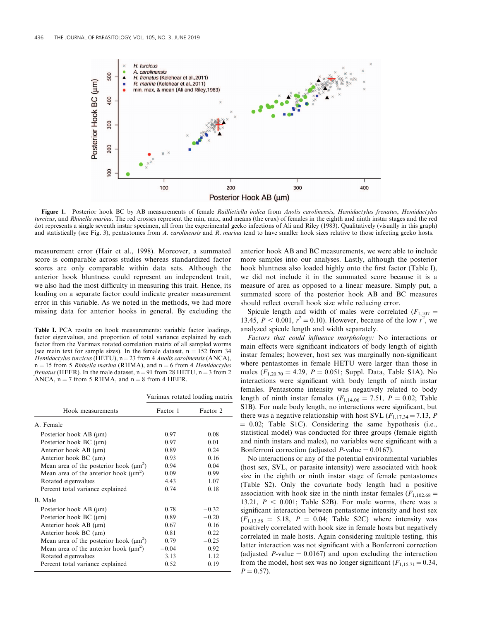

Figure 1. Posterior hook BC by AB measurements of female Raillietiella indica from Anolis carolinensis, Hemidactylus frenatus, Hemidactylus turcicus, and Rhinella marina. The red crosses represent the min, max, and means (the crux) of females in the eighth and ninth instar stages and the red dot represents a single seventh instar specimen, all from the experimental gecko infections of Ali and Riley (1983). Qualitatively (visually in this graph) and statistically (see Fig. 3), pentastomes from A. *carolinensis* and R. *marina* tend to have smaller hook sizes relative to those infecting gecko hosts.

measurement error (Hair et al., 1998). Moreover, a summated score is comparable across studies whereas standardized factor scores are only comparable within data sets. Although the anterior hook bluntness could represent an independent trait, we also had the most difficulty in measuring this trait. Hence, its loading on a separate factor could indicate greater measurement error in this variable. As we noted in the methods, we had more missing data for anterior hooks in general. By excluding the

Table I. PCA results on hook measurements: variable factor loadings, factor eigenvalues, and proportion of total variance explained by each factor from the Varimax rotated correlation matrix of all sampled worms (see main text for sample sizes). In the female dataset,  $n = 152$  from 34 Hemidactylus turcicus (HETU),  $n = 23$  from 4 Anolis carolinensis (ANCA),  $n = 15$  from 5 *Rhinella marina* (RHMA), and  $n = 6$  from 4 *Hemidactylus frenatus* (HEFR). In the male dataset,  $n = 91$  from 28 HETU,  $n = 3$  from 2 ANCA,  $n = 7$  from 5 RHMA, and  $n = 8$  from 4 HEFR.

| Hook measurements                           | Varimax rotated loading matrix |          |
|---------------------------------------------|--------------------------------|----------|
|                                             | Factor 1                       | Factor 2 |
| A Female                                    |                                |          |
| Posterior hook AB $(\mu m)$                 | 0.97                           | 0.08     |
| Posterior hook $BC$ ( $\mu$ m)              | 0.97                           | 0.01     |
| Anterior hook AB $(\mu m)$                  | 0.89                           | 0.24     |
| Anterior hook $BC$ ( $\mu$ m)               | 0.93                           | 0.16     |
| Mean area of the posterior hook $(\mu m^2)$ | 0.94                           | 0.04     |
| Mean area of the anterior hook $(\mu m^2)$  | 0.09                           | 0.99     |
| Rotated eigenvalues                         | 4.43                           | 1.07     |
| Percent total variance explained            | 0.74                           | 0.18     |
| <b>B</b> Male                               |                                |          |
| Posterior hook $AB$ ( $\mu$ m)              | 0.78                           | $-0.32$  |
| Posterior hook $BC$ ( $\mu$ m)              | 0.89                           | $-0.20$  |
| Anterior hook AB $(\mu m)$                  | 0.67                           | 0.16     |
| Anterior hook $BC$ ( $\mu$ m)               | 0.81                           | 0.22     |
| Mean area of the posterior hook $(\mu m^2)$ | 0.79                           | $-0.25$  |
| Mean area of the anterior hook $(\mu m^2)$  | $-0.04$                        | 0.92     |
| Rotated eigenvalues                         | 3.13                           | 1.12     |
| Percent total variance explained            | 0.52                           | 0.19     |

anterior hook AB and BC measurements, we were able to include more samples into our analyses. Lastly, although the posterior hook bluntness also loaded highly onto the first factor (Table I), we did not include it in the summated score because it is a measure of area as opposed to a linear measure. Simply put, a summated score of the posterior hook AB and BC measures should reflect overall hook size while reducing error.

Spicule length and width of males were correlated  $(F_{1,107} =$ 13.45,  $P < 0.001$ ,  $r^2 = 0.10$ ). However, because of the low  $r^2$ , we analyzed spicule length and width separately.

Factors that could influence morphology: No interactions or main effects were significant indicators of body length of eighth instar females; however, host sex was marginally non-significant where pentastomes in female HETU were larger than those in males  $(F_{1,20,70} = 4.29, P = 0.051;$  Suppl. Data, Table S1A). No interactions were significant with body length of ninth instar females. Pentastome intensity was negatively related to body length of ninth instar females ( $F_{1,14.06} = 7.51$ ,  $P = 0.02$ ; Table S1B). For male body length, no interactions were significant, but there was a negative relationship with host SVL ( $F_{1,17,34} = 7.13$ , P  $= 0.02$ ; Table S1C). Considering the same hypothesis (i.e., statistical model) was conducted for three groups (female eighth and ninth instars and males), no variables were significant with a Bonferroni correction (adjusted  $P$ -value = 0.0167).

No interactions or any of the potential environmental variables (host sex, SVL, or parasite intensity) were associated with hook size in the eighth or ninth instar stage of female pentastomes (Table S2). Only the covariate body length had a positive association with hook size in the ninth instar females ( $F_{1,102,68}$  = 13.21,  $P < 0.001$ ; Table S2B). For male worms, there was a significant interaction between pentastome intensity and host sex  $(F<sub>1.13.58</sub> = 5.18, P = 0.04;$  Table S2C) where intensity was positively correlated with hook size in female hosts but negatively correlated in male hosts. Again considering multiple testing, this latter interaction was not significant with a Bonferroni correction (adjusted P-value  $= 0.0167$ ) and upon excluding the interaction from the model, host sex was no longer significant  $(F_{1,15,71} = 0.34,$  $P = 0.57$ .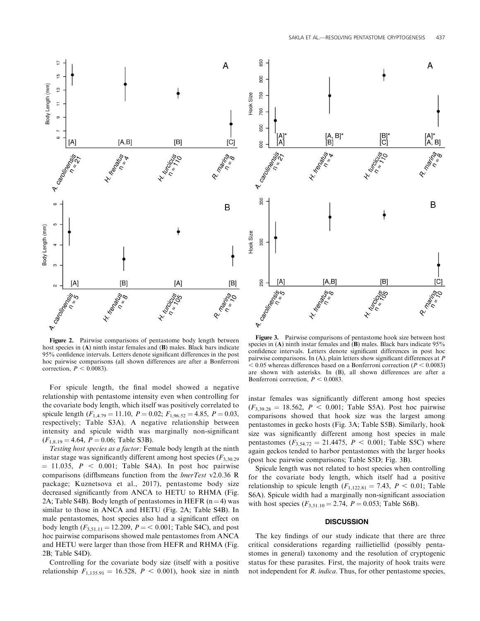

Figure 2. Pairwise comparisons of pentastome body length between host species in (A) ninth instar females and (B) males. Black bars indicate 95% confidence intervals. Letters denote significant differences in the post hoc pairwise comparisons (all shown differences are after a Bonferroni correction,  $P < 0.0083$ ).

For spicule length, the final model showed a negative relationship with pentastome intensity even when controlling for the covariate body length, which itself was positively correlated to spicule length  $(F_{1,4.79} = 11.10, P = 0.02; F_{1,96.52} = 4.85, P = 0.03,$ respectively; Table S3A). A negative relationship between intensity and spicule width was marginally non-significant  $(F_{1,8.19} = 4.64, P = 0.06;$  Table S3B).

Testing host species as a factor: Female body length at the ninth instar stage was significantly different among host species  $(F_{3,30,29})$  $= 11.035$ ,  $P < 0.001$ ; Table S4A). In post hoc pairwise comparisons (difflsmeans function from the lmerTest v2.0.36 R package; Kuznetsova et al., 2017), pentastome body size decreased significantly from ANCA to HETU to RHMA (Fig. 2A; Table S4B). Body length of pentastomes in HEFR  $(n=4)$  was similar to those in ANCA and HETU (Fig. 2A; Table S4B). In male pentastomes, host species also had a significant effect on body length  $(F_{3,51,11} = 12.209, P = 0.001$ ; Table S4C), and post hoc pairwise comparisons showed male pentastomes from ANCA and HETU were larger than those from HEFR and RHMA (Fig. 2B; Table S4D).

Controlling for the covariate body size (itself with a positive relationship  $F_{1,135.91} = 16.528, P < 0.001$ , hook size in ninth



Figure 3. Pairwise comparisons of pentastome hook size between host species in (A) ninth instar females and  $(B)$  males. Black bars indicate 95% confidence intervals. Letters denote significant differences in post hoc pairwise comparisons. In (A), plain letters show significant differences at P  $< 0.05$  whereas differences based on a Bonferroni correction ( $P < 0.0083$ ) are shown with asterisks. In (B), all shown differences are after a Bonferroni correction,  $P < 0.0083$ .

instar females was significantly different among host species  $(F_{3,39,28} = 18.562, P < 0.001$ ; Table S5A). Post hoc pairwise comparisons showed that hook size was the largest among pentastomes in gecko hosts (Fig. 3A; Table S5B). Similarly, hook size was significantly different among host species in male pentastomes  $(F_{3,54,72} = 21.4475, P \le 0.001$ ; Table S5C) where again geckos tended to harbor pentastomes with the larger hooks (post hoc pairwise comparisons; Table S5D; Fig. 3B).

Spicule length was not related to host species when controlling for the covariate body length, which itself had a positive relationship to spicule length  $(F_{1,122.81} = 7.43, P < 0.01;$  Table S6A). Spicule width had a marginally non-significant association with host species  $(F_{3,51.10} = 2.74, P = 0.053;$  Table S6B).

#### **DISCUSSION**

The key findings of our study indicate that there are three critical considerations regarding raillietiellid (possibly pentastomes in general) taxonomy and the resolution of cryptogenic status for these parasites. First, the majority of hook traits were not independent for R. indica. Thus, for other pentastome species,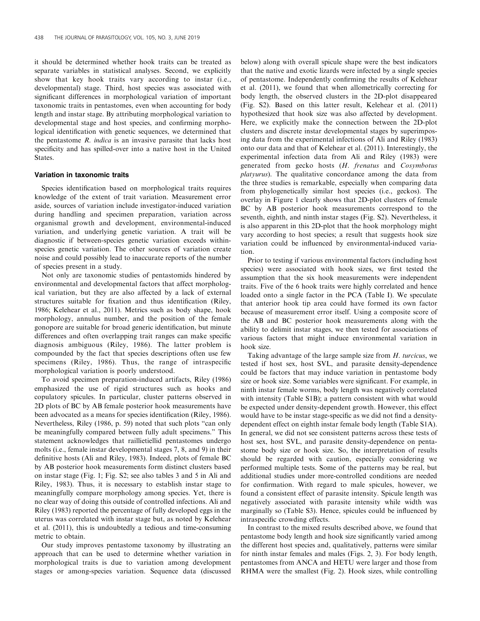it should be determined whether hook traits can be treated as separate variables in statistical analyses. Second, we explicitly show that key hook traits vary according to instar (i.e., developmental) stage. Third, host species was associated with significant differences in morphological variation of important taxonomic traits in pentastomes, even when accounting for body length and instar stage. By attributing morphological variation to developmental stage and host species, and confirming morphological identification with genetic sequences, we determined that the pentastome  $R$ . *indica* is an invasive parasite that lacks host specificity and has spilled-over into a native host in the United States.

# Variation in taxonomic traits

Species identification based on morphological traits requires knowledge of the extent of trait variation. Measurement error aside, sources of variation include investigator-induced variation during handling and specimen preparation, variation across organismal growth and development, environmental-induced variation, and underlying genetic variation. A trait will be diagnostic if between-species genetic variation exceeds withinspecies genetic variation. The other sources of variation create noise and could possibly lead to inaccurate reports of the number of species present in a study.

Not only are taxonomic studies of pentastomids hindered by environmental and developmental factors that affect morphological variation, but they are also affected by a lack of external structures suitable for fixation and thus identification (Riley, 1986; Kelehear et al., 2011). Metrics such as body shape, hook morphology, annulus number, and the position of the female gonopore are suitable for broad generic identification, but minute differences and often overlapping trait ranges can make specific diagnosis ambiguous (Riley, 1986). The latter problem is compounded by the fact that species descriptions often use few specimens (Riley, 1986). Thus, the range of intraspecific morphological variation is poorly understood.

To avoid specimen preparation-induced artifacts, Riley (1986) emphasized the use of rigid structures such as hooks and copulatory spicules. In particular, cluster patterns observed in 2D plots of BC by AB female posterior hook measurements have been advocated as a means for species identification (Riley, 1986). Nevertheless, Riley (1986, p. 59) noted that such plots ''can only be meaningfully compared between fully adult specimens.'' This statement acknowledges that raillietiellid pentastomes undergo molts (i.e., female instar developmental stages 7, 8, and 9) in their definitive hosts (Ali and Riley, 1983). Indeed, plots of female BC by AB posterior hook measurements form distinct clusters based on instar stage (Fig. 1; Fig. S2; see also tables 3 and 5 in Ali and Riley, 1983). Thus, it is necessary to establish instar stage to meaningfully compare morphology among species. Yet, there is no clear way of doing this outside of controlled infections. Ali and Riley (1983) reported the percentage of fully developed eggs in the uterus was correlated with instar stage but, as noted by Kelehear et al. (2011), this is undoubtedly a tedious and time-consuming metric to obtain.

Our study improves pentastome taxonomy by illustrating an approach that can be used to determine whether variation in morphological traits is due to variation among development stages or among-species variation. Sequence data (discussed below) along with overall spicule shape were the best indicators that the native and exotic lizards were infected by a single species of pentastome. Independently confirming the results of Kelehear et al. (2011), we found that when allometrically correcting for body length, the observed clusters in the 2D-plot disappeared (Fig. S2). Based on this latter result, Kelehear et al. (2011) hypothesized that hook size was also affected by development. Here, we explicitly make the connection between the 2D-plot clusters and discrete instar developmental stages by superimposing data from the experimental infections of Ali and Riley (1983) onto our data and that of Kelehear et al. (2011). Interestingly, the experimental infection data from Ali and Riley (1983) were generated from gecko hosts (H. frenatus and Cosymbotus platyurus). The qualitative concordance among the data from the three studies is remarkable, especially when comparing data from phylogenetically similar host species (i.e., geckos). The overlay in Figure 1 clearly shows that 2D-plot clusters of female BC by AB posterior hook measurements correspond to the seventh, eighth, and ninth instar stages (Fig. S2). Nevertheless, it is also apparent in this 2D-plot that the hook morphology might vary according to host species; a result that suggests hook size variation could be influenced by environmental-induced variation.

Prior to testing if various environmental factors (including host species) were associated with hook sizes, we first tested the assumption that the six hook measurements were independent traits. Five of the 6 hook traits were highly correlated and hence loaded onto a single factor in the PCA (Table I). We speculate that anterior hook tip area could have formed its own factor because of measurement error itself. Using a composite score of the AB and BC posterior hook measurements along with the ability to delimit instar stages, we then tested for associations of various factors that might induce environmental variation in hook size.

Taking advantage of the large sample size from H. turcicus, we tested if host sex, host SVL, and parasite density-dependence could be factors that may induce variation in pentastome body size or hook size. Some variables were significant. For example, in ninth instar female worms, body length was negatively correlated with intensity (Table S1B); a pattern consistent with what would be expected under density-dependent growth. However, this effect would have to be instar stage-specific as we did not find a densitydependent effect on eighth instar female body length (Table S1A). In general, we did not see consistent patterns across these tests of host sex, host SVL, and parasite density-dependence on pentastome body size or hook size. So, the interpretation of results should be regarded with caution, especially considering we performed multiple tests. Some of the patterns may be real, but additional studies under more-controlled conditions are needed for confirmation. With regard to male spicules, however, we found a consistent effect of parasite intensity. Spicule length was negatively associated with parasite intensity while width was marginally so (Table S3). Hence, spicules could be influenced by intraspecific crowding effects.

In contrast to the mixed results described above, we found that pentastome body length and hook size significantly varied among the different host species and, qualitatively, patterns were similar for ninth instar females and males (Figs. 2, 3). For body length, pentastomes from ANCA and HETU were larger and those from RHMA were the smallest (Fig. 2). Hook sizes, while controlling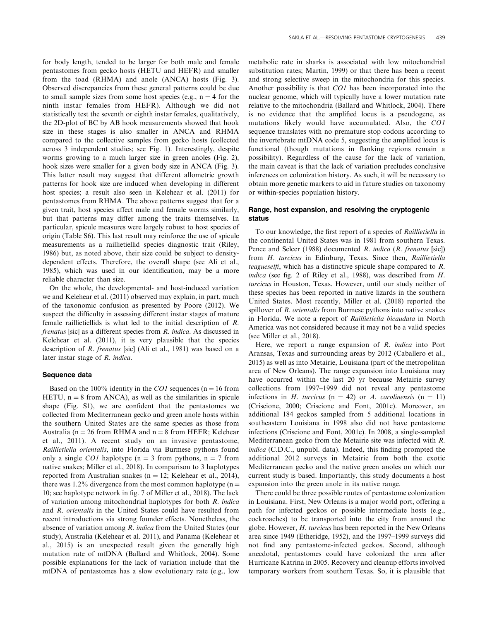for body length, tended to be larger for both male and female pentastomes from gecko hosts (HETU and HEFR) and smaller from the toad (RHMA) and anole (ANCA) hosts (Fig. 3). Observed discrepancies from these general patterns could be due to small sample sizes from some host species (e.g.,  $n = 4$  for the ninth instar females from HEFR). Although we did not statistically test the seventh or eighth instar females, qualitatively, the 2D-plot of BC by AB hook measurements showed that hook size in these stages is also smaller in ANCA and RHMA compared to the collective samples from gecko hosts (collected across 3 independent studies; see Fig. 1). Interestingly, despite worms growing to a much larger size in green anoles (Fig. 2), hook sizes were smaller for a given body size in ANCA (Fig. 3). This latter result may suggest that different allometric growth patterns for hook size are induced when developing in different host species; a result also seen in Kelehear et al. (2011) for pentastomes from RHMA. The above patterns suggest that for a given trait, host species affect male and female worms similarly, but that patterns may differ among the traits themselves. In particular, spicule measures were largely robust to host species of origin (Table S6). This last result may reinforce the use of spicule measurements as a raillietiellid species diagnostic trait (Riley, 1986) but, as noted above, their size could be subject to densitydependent effects. Therefore, the overall shape (see Ali et al., 1985), which was used in our identification, may be a more reliable character than size.

On the whole, the developmental- and host-induced variation we and Kelehear et al. (2011) observed may explain, in part, much of the taxonomic confusion as presented by Poore (2012). We suspect the difficulty in assessing different instar stages of mature female raillietiellids is what led to the initial description of R. frenatus [sic] as a different species from R. indica. As discussed in Kelehear et al. (2011), it is very plausible that the species description of R. frenatus [sic] (Ali et al., 1981) was based on a later instar stage of R. indica.

# Sequence data

Based on the 100% identity in the CO1 sequences ( $n = 16$  from HETU,  $n = 8$  from ANCA), as well as the similarities in spicule shape (Fig. S1), we are confident that the pentastomes we collected from Mediterranean gecko and green anole hosts within the southern United States are the same species as those from Australia ( $n = 26$  from RHMA and  $n = 8$  from HEFR; Kelehear et al., 2011). A recent study on an invasive pentastome, Raillietiella orientalis, into Florida via Burmese pythons found only a single *CO1* haplotype ( $n = 3$  from pythons,  $n = 7$  from native snakes; Miller et al., 2018). In comparison to 3 haplotypes reported from Australian snakes ( $n = 12$ ; Kelehear et al., 2014), there was 1.2% divergence from the most common haplotype ( $n =$ 10; see haplotype network in fig. 7 of Miller et al., 2018). The lack of variation among mitochondrial haplotypes for both R. indica and R. orientalis in the United States could have resulted from recent introductions via strong founder effects. Nonetheless, the absence of variation among R. indica from the United States (our study), Australia (Kelehear et al. 2011), and Panama (Kelehear et al., 2015) is an unexpected result given the generally high mutation rate of mtDNA (Ballard and Whitlock, 2004). Some possible explanations for the lack of variation include that the mtDNA of pentastomes has a slow evolutionary rate (e.g., low

metabolic rate in sharks is associated with low mitochondrial substitution rates; Martin, 1999) or that there has been a recent and strong selective sweep in the mitochondria for this species. Another possibility is that CO1 has been incorporated into the nuclear genome, which will typically have a lower mutation rate relative to the mitochondria (Ballard and Whitlock, 2004). There is no evidence that the amplified locus is a pseudogene, as mutations likely would have accumulated. Also, the CO1 sequence translates with no premature stop codons according to the invertebrate mtDNA code 5, suggesting the amplified locus is functional (though mutations in flanking regions remain a possibility). Regardless of the cause for the lack of variation, the main caveat is that the lack of variation precludes conclusive inferences on colonization history. As such, it will be necessary to obtain more genetic markers to aid in future studies on taxonomy or within-species population history.

# Range, host expansion, and resolving the cryptogenic status

To our knowledge, the first report of a species of Raillietiella in the continental United States was in 1981 from southern Texas. Pence and Selcer (1988) documented R. indica (R. frenatus [sic]) from H. turcicus in Edinburg, Texas. Since then, Raillietiella teagueselfi, which has a distinctive spicule shape compared to R. indica (see fig. 2 of Riley et al., 1988), was described from H. turcicus in Houston, Texas. However, until our study neither of these species has been reported in native lizards in the southern United States. Most recently, Miller et al. (2018) reported the spillover of R. orientalis from Burmese pythons into native snakes in Florida. We note a report of Raillietiella bicaudata in North America was not considered because it may not be a valid species (see Miller et al., 2018).

Here, we report a range expansion of R. indica into Port Aransas, Texas and surrounding areas by 2012 (Caballero et al., 2015) as well as into Metairie, Louisiana (part of the metropolitan area of New Orleans). The range expansion into Louisiana may have occurred within the last 20 yr because Metairie survey collections from 1997–1999 did not reveal any pentastome infections in H. turcicus (n = 42) or A. carolinensis (n = 11) (Criscione, 2000; Criscione and Font, 2001c). Moreover, an additional 184 geckos sampled from 5 additional locations in southeastern Louisiana in 1998 also did not have pentastome infections (Criscione and Font, 2001c). In 2008, a single-sampled Mediterranean gecko from the Metairie site was infected with R. indica (C.D.C., unpubl. data). Indeed, this finding prompted the additional 2012 surveys in Metairie from both the exotic Mediterranean gecko and the native green anoles on which our current study is based. Importantly, this study documents a host expansion into the green anole in its native range.

There could be three possible routes of pentastome colonization in Louisiana. First, New Orleans is a major world port, offering a path for infected geckos or possible intermediate hosts (e.g., cockroaches) to be transported into the city from around the globe. However, H. turcicus has been reported in the New Orleans area since 1949 (Etheridge, 1952), and the 1997–1999 surveys did not find any pentastome-infected geckos. Second, although anecdotal, pentastomes could have colonized the area after Hurricane Katrina in 2005. Recovery and cleanup efforts involved temporary workers from southern Texas. So, it is plausible that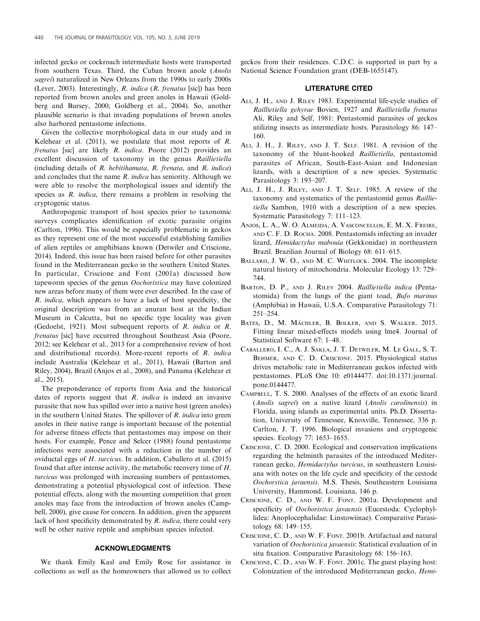infected gecko or cockroach intermediate hosts were transported from southern Texas. Third, the Cuban brown anole (Anolis sagrei) naturalized in New Orleans from the 1990s to early 2000s (Lever, 2003). Interestingly, R. indica (R. frenatus [sic]) has been reported from brown anoles and green anoles in Hawaii (Goldberg and Bursey, 2000; Goldberg et al., 2004). So, another plausible scenario is that invading populations of brown anoles also harbored pentastome infections.

Given the collective morphological data in our study and in Kelehear et al.  $(2011)$ , we postulate that most reports of R. frenatus [sic] are likely R. indica. Poore (2012) provides an excellent discussion of taxonomy in the genus Raillietiella (including details of R. hebitihamata, R. frenata, and R. indica) and concludes that the name  $R$ . *indica* has seniority. Although we were able to resolve the morphological issues and identify the species as *R. indica*, there remains a problem in resolving the cryptogenic status.

Anthropogenic transport of host species prior to taxonomic surveys complicates identification of exotic parasite origins (Carlton, 1996). This would be especially problematic in geckos as they represent one of the most successful establishing families of alien reptiles or amphibians known (Detwiler and Criscione, 2014). Indeed, this issue has been raised before for other parasites found in the Mediterranean gecko in the southern United States. In particular, Criscione and Font (2001a) discussed how tapeworm species of the genus Oochoristica may have colonized new areas before many of them were ever described. In the case of R. indica, which appears to have a lack of host specificity, the original description was from an anuran host at the Indian Museum in Calcutta, but no specific type locality was given (Gedoelst, 1921). Most subsequent reports of R. indica or R. frenatus [sic] have occurred throughout Southeast Asia (Poore, 2012; see Kelehear et al., 2013 for a comprehensive review of host and distributional records). More-recent reports of R. indica include Australia (Kelehear et al., 2011), Hawaii (Barton and Riley, 2004), Brazil (Anjos et al., 2008), and Panama (Kelehear et al., 2015).

The preponderance of reports from Asia and the historical dates of reports suggest that  $R$ . *indica* is indeed an invasive parasite that now has spilled over into a native host (green anoles) in the southern United States. The spillover of R. indica into green anoles in their native range is important because of the potential for adverse fitness effects that pentastomes may impose on their hosts. For example, Pence and Selcer (1988) found pentastome infections were associated with a reduction in the number of oviductal eggs of H. turcicus. In addition, Caballero et al. (2015) found that after intense activity, the metabolic recovery time of H. turcicus was prolonged with increasing numbers of pentastomes, demonstrating a potential physiological cost of infection. These potential effects, along with the mounting competition that green anoles may face from the introduction of brown anoles (Campbell, 2000), give cause for concern. In addition, given the apparent lack of host specificity demonstrated by  $R$ . indica, there could very well be other native reptile and amphibian species infected.

# ACKNOWLEDGMENTS

We thank Emily Kasl and Emily Rose for assistance in collections as well as the homeowners that allowed us to collect geckos from their residences. C.D.C. is supported in part by a National Science Foundation grant (DEB-1655147).

# LITERATURE CITED

- ALI, J. H., AND J. RILEY 1983. Experimental life-cycle studies of Raillietiella gehyrae Bovien, 1927 and Raillietiella frenatus Ali, Riley and Self, 1981: Pentastomid parasites of geckos utilizing insects as intermediate hosts. Parasitology 86: 147– 160.
- ALI, J. H., J. RILEY, AND J. T. SELF. 1981. A revision of the taxonomy of the blunt-hooked Raillietiella, pentastomid parasites of African, South-East-Asian and Indonesian lizards, with a description of a new species. Systematic Parasitology 3: 193–207.
- ALI, J. H., J. RILEY, AND J. T. SELF. 1985. A review of the taxonomy and systematics of the pentastomid genus Raillietiella Sambon, 1910 with a description of a new species. Systematic Parasitology 7: 111–123.
- ANJOS, L. A., W. O. ALMEIDA, A. VASCONCELLOS, E. M. X. FREIRE, AND C. F. D. ROCHA. 2008. Pentastomids infecting an invader lizard, Hemidactylus mabouia (Gekkonidae) in northeastern Brazil. Brazilian Journal of Biology 68: 611–615.
- BALLARD, J. W. O., AND M. C. WHITLOCK. 2004. The incomplete natural history of mitochondria. Molecular Ecology 13: 729– 744.
- BARTON, D. P., AND J. RILEY 2004. Raillietiella indica (Pentastomida) from the lungs of the giant toad, Bufo marinus (Amphibia) in Hawaii, U.S.A. Comparative Parasitology 71: 251–254.
- BATES, D., M. MÄCHLER, B. BOLKER, AND S. WALKER. 2015. Fitting linear mixed-effects models using lme4. Journal of Statistical Software 67: 1–48.
- CABALLERO, I. C., A. J. SAKLA, J. T. DETWILER, M. LE GALL, S. T. BEHMER, AND C. D. CRISCIONE. 2015. Physiological status drives metabolic rate in Mediterranean geckos infected with pentastomes. PLoS One 10: e0144477. doi:10.1371/journal. pone.0144477.
- CAMPBELL, T. S. 2000. Analyses of the effects of an exotic lizard (Anolis sagrei) on a native lizard (Anolis carolinensis) in Florida, using islands as experimental units. Ph.D. Dissertation, University of Tennessee, Knoxville, Tennessee, 336 p. Carlton, J. T. 1996. Biological invasions and cryptogenic species. Ecology 77: 1653–1655.
- CRISCIONE, C. D. 2000. Ecological and conservation implications regarding the helminth parasites of the introduced Mediterranean gecko, Hemidactylus turcicus, in southeastern Louisiana with notes on the life cycle and specificity of the cestode Oochorstica javaensis. M.S. Thesis, Southeastern Louisiana University, Hammond, Louisiana, 146 p.
- CRISCIONE, C. D., AND W. F. FONT. 2001a. Development and specificity of Oochoristica javaensis (Eucestoda: Cyclophyllidea: Anoplocephalidae: Linstowiinae). Comparative Parasitology 68: 149–155.
- CRISCIONE, C. D., AND W. F. FONT. 2001b. Artifactual and natural variation of Oochoristica javaensis: Statistical evaluation of in situ fixation. Comparative Parasitology 68: 156–163.
- CRISCIONE, C. D., AND W. F. FONT. 2001c. The guest playing host: Colonization of the introduced Mediterranean gecko, Hemi-